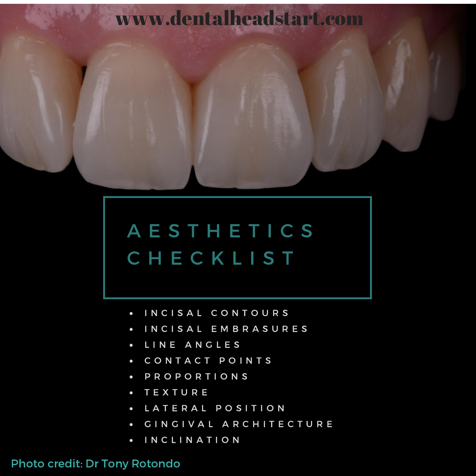

# A E S T H E T I C S C H E C K L I S T

- INCISAL CONTOURS  $\bullet$
- I N C I S A L E M B R A S U R E S  $\bullet$
- L I N E A N G L E S  $\bullet$
- CONTACT POINTS  $\bullet$
- P R O P O R T I O N S  $\bullet$
- T E X T U R E  $\bullet$
- LATERAL POSITION  $\bullet$
- GINGIVAL ARCHITECTURE  $\bullet$
- I N C L I N A T I O N  $\bullet$

#### Photo credit: Dr Tony [Rotondo](https://www.facebook.com/tony-rotondo-work-and-play-1463206097242168/)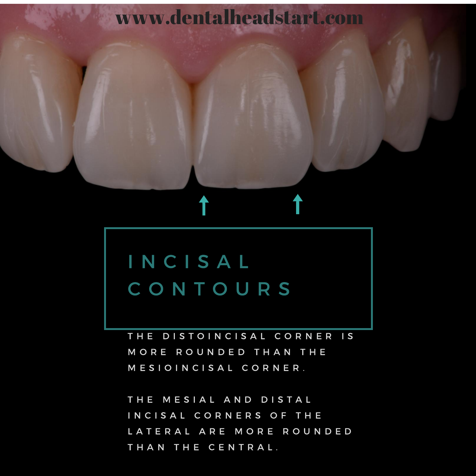## I N C I S A L C O N T O U R S

THE DISTOINCISAL CORNER IS MORE ROUNDED THAN THE MESIOINCISAL CORNER.

www.dentalheadstart.com

THE MESIAL AND DISTAL INCISAL CORNERS OF THE LATERAL ARE MORE ROUNDED THAN THE CENTRAL.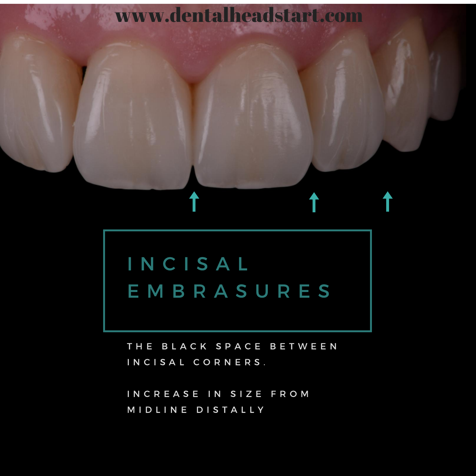

## I N C I S A L E M B R A S U R E S

THE BLACK SPACE BETWEEN INCISAL CORNERS.

INCREASE IN SIZE FROM M I D L I N E D I S T A L L Y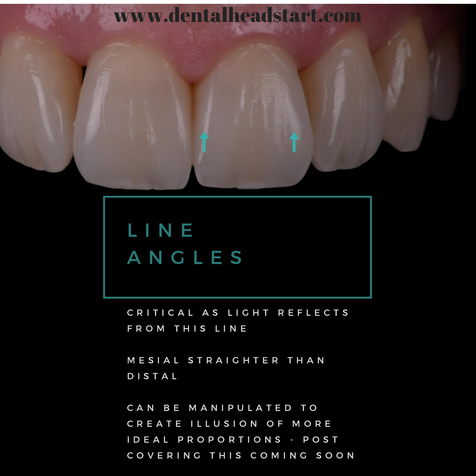

## L I N E A N G L E S

C R I T I C A L A S L I G H T R E F L E C T S FROM THIS LINE

MESIAL STRAIGHTER THAN D I S T A L

CAN BE MANIPULATED TO CREATE ILLUSION OF MORE I D E A L P R O P O R T I O N S - P O S T COVERING THIS COMING SOON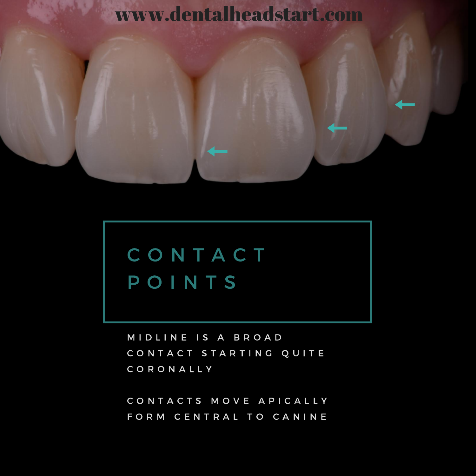## C O N T A C T POINTS

M I D L I N E I S A B R O A D CONTACT STARTING QUITE C O R O N A L L Y

CONTACTS MOVE APICALLY FORM CENTRAL TO CANINE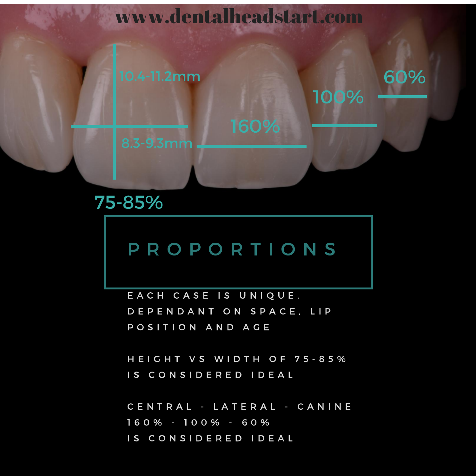100%

60%

#### 10.4-11.2mm

#### 75-85%

### P R O P O R T I O N S

E A C H C A S E IS UNIQUE. D E P E N D A N T O N S P A C E, LI P POSITION AND ACE

HEIGHT VS WIDTH OF 75-85% IS CONSIDERED IDEAL

C E N T R A L - L A T E R A L - C A N I N E 1 6 0 % - 1 0 0 % - 6 0 % IS CONSIDERED IDEAL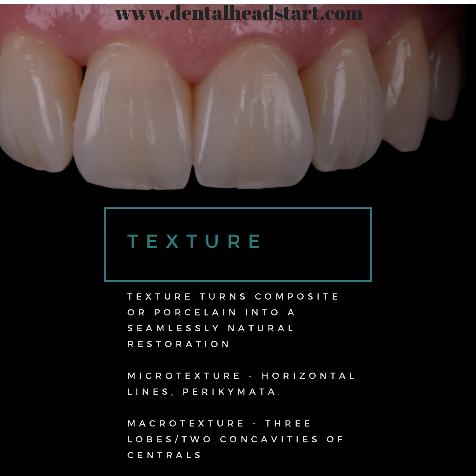

### T E X T U R E

TEXTURE TURNS COMPOSITE OR PORCELAIN INTO A S E A M L E S S L Y N A T U R A L R E S T O R A T I O N

M I C R O T E X T U R E - H O R I Z O N T A L L I N E S , P E R I K Y M A T A .

M A C R O T E X T U R E - T H R E E LOBES/TWO CONCAVITIES OF C E N T R A L S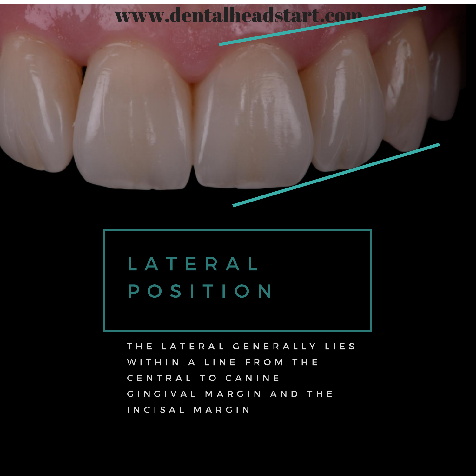

## L A T E R A L POSITION

THE LATERAL GENERALLY LIES WITHIN A LINE FROM THE CENTRAL TO CANINE GINGIVAL MARGIN AND THE INCISAL MARGIN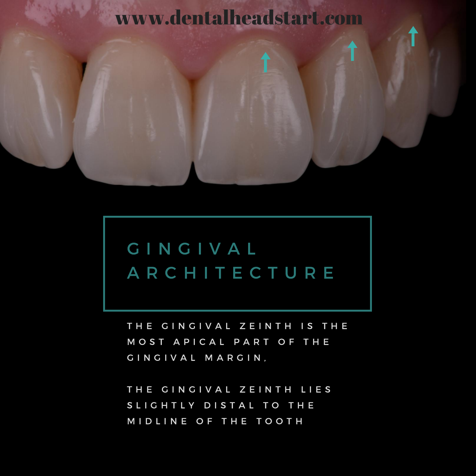## G I N G I V A L A R C H I T E C T U R E

THE GINGIVAL ZEINTH IS THE MOST APICAL PART OF THE GINGIVAL MARGIN,

THE GINGIVAL ZEINTH LIES SLIGHTLY DISTAL TO THE MIDLINE OF THE TOOTH